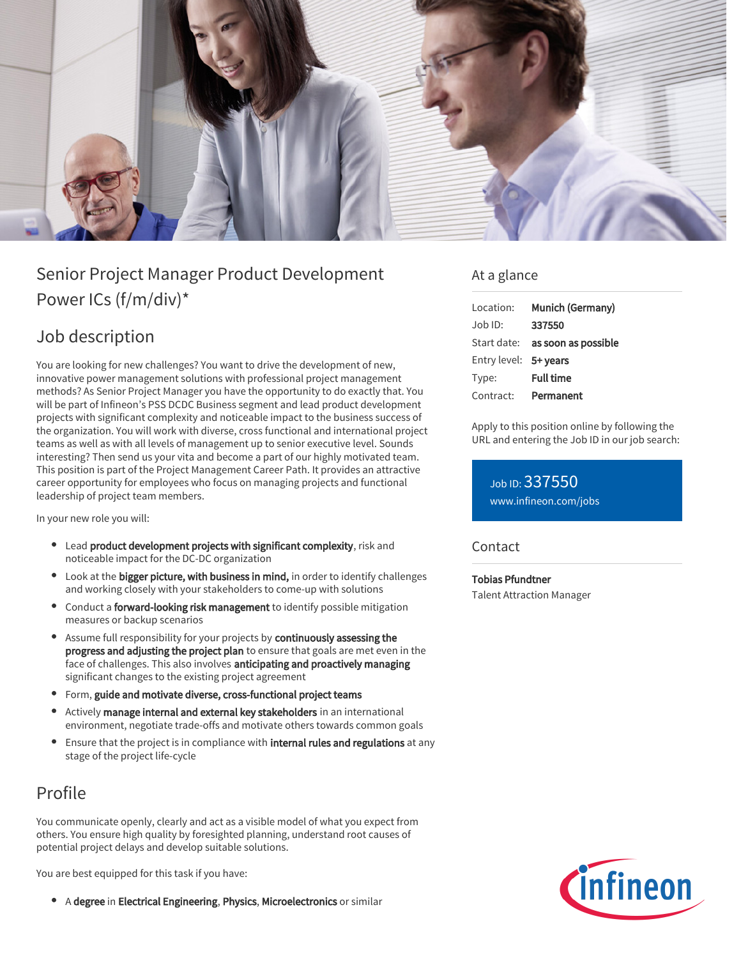

# Senior Project Manager Product Development Power ICs (f/m/div)\*

## Job description

You are looking for new challenges? You want to drive the development of new, innovative power management solutions with professional project management methods? As Senior Project Manager you have the opportunity to do exactly that. You will be part of Infineon's PSS DCDC Business segment and lead product development projects with significant complexity and noticeable impact to the business success of the organization. You will work with diverse, cross functional and international project teams as well as with all levels of management up to senior executive level. Sounds interesting? Then send us your vita and become a part of our highly motivated team. This position is part of the Project Management Career Path. It provides an attractive career opportunity for employees who focus on managing projects and functional leadership of project team members.

In your new role you will:

- Lead product development projects with significant complexity, risk and noticeable impact for the DC-DC organization
- Look at the bigger picture, with business in mind, in order to identify challenges and working closely with your stakeholders to come-up with solutions
- Conduct a **forward-looking risk management** to identify possible mitigation measures or backup scenarios
- **Assume full responsibility for your projects by continuously assessing the** progress and adjusting the project plan to ensure that goals are met even in the face of challenges. This also involves anticipating and proactively managing significant changes to the existing project agreement
- Form, guide and motivate diverse, cross-functional project teams
- Actively manage internal and external key stakeholders in an international environment, negotiate trade-offs and motivate others towards common goals
- Ensure that the project is in compliance with internal rules and regulations at any stage of the project life-cycle

### Profile

You communicate openly, clearly and act as a visible model of what you expect from others. You ensure high quality by foresighted planning, understand root causes of potential project delays and develop suitable solutions.

You are best equipped for this task if you have:

• A degree in Electrical Engineering, Physics, Microelectronics or similar

### At a glance

| Location:             | Munich (Germany)    |
|-----------------------|---------------------|
| $Joh$ ID:             | 337550              |
| Start date:           | as soon as possible |
| Entry level: 5+ years |                     |
| Type:                 | <b>Full time</b>    |
| Contract:             | Permanent           |

Apply to this position online by following the URL and entering the Job ID in our job search:

Job ID: 337550 [www.infineon.com/jobs](https://www.infineon.com/jobs)

#### **Contact**

Tobias Pfundtner

Talent Attraction Manager